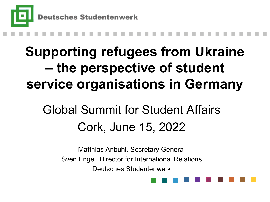

### **Supporting refugees from Ukraine – the perspective of student service organisations in Germany**

### Global Summit for Student Affairs Cork, June 15, 2022

Matthias Anbuhl, Secretary General Sven Engel, Director for International Relations Deutsches Studentenwerk

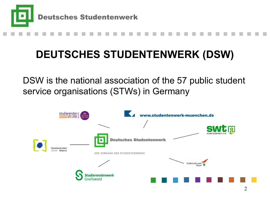

### **DEUTSCHES STUDENTENWERK (DSW)**

DSW is the national association of the 57 public student service organisations (STWs) in Germany

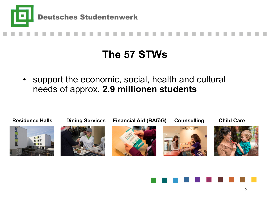



### **The 57 STWs**

support the economic, social, health and cultural needs of approx. **2.9 millionen students**



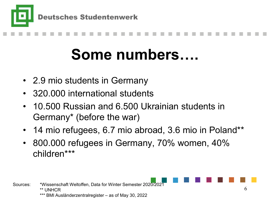



### **Some numbers….**

- 2.9 mio students in Germany
- 320.000 international students
- 10.500 Russian and 6.500 Ukrainian students in Germany\* (before the war)
- 14 mio refugees, 6.7 mio abroad, 3.6 mio in Poland\*\*
- 800.000 refugees in Germany, 70% women, 40% children\*\*\*

Sources: \*Wissenschaft Weltoffen, Data for Winter Semester 2020/2021 \*\* UNHCR BMI Ausländerzentralregister – as of May 30, 2022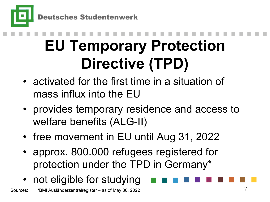

**Deutsches Studentenwerk** 

# **EU Temporary Protection Directive (TPD)**

- activated for the first time in a situation of mass influx into the EU
- provides temporary residence and access to welfare benefits (ALG-II)
- free movement in EU until Aug 31, 2022
- approx. 800.000 refugees registered for protection under the TPD in Germany\*
- not eligible for studying

Sources: \*BMI Ausländerzentralregister – as of May 30, 2022 **THE** Sources and May 30, 2022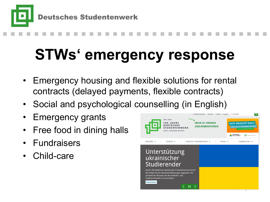

### **STWs' emergency response**

- Emergency housing and flexible solutions for rental contracts (delayed payments, flexible contracts)
- Social and psychological counselling (in English)
- Emergency grants
- Free food in dining halls
- **Fundraisers**
- Child-care

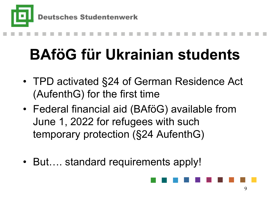

### **BAföG für Ukrainian students**

- TPD activated §24 of German Residence Act (AufenthG) for the first time
- Federal financial aid (BAföG) available from June 1, 2022 for refugees with such temporary protection (§24 AufenthG)
- But.... standard requirements apply!

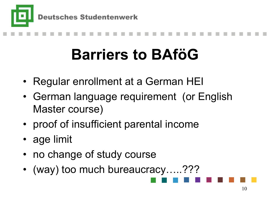

## **Barriers to BAföG**

- Regular enrollment at a German HEI
- German language requirement (or English Master course)
- proof of insufficient parental income
- age limit
- no change of study course
- (way) too much bureaucracy.....???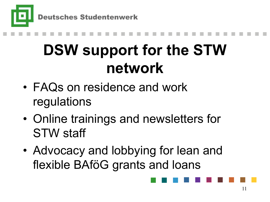

## **DSW support for the STW network**

- FAQs on residence and work regulations
- Online trainings and newsletters for STW staff
- Advocacy and lobbying for lean and flexible BAföG grants and loans

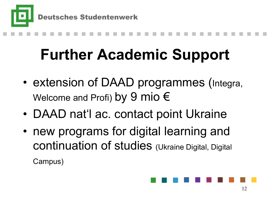

### **Further Academic Support**

- extension of DAAD programmes (Integra, Welcome and Profi) by 9 mio  $\epsilon$
- DAAD nat'l ac. contact point Ukraine
- new programs for digital learning and continuation of studies (Ukraine Digital, Digital Campus)

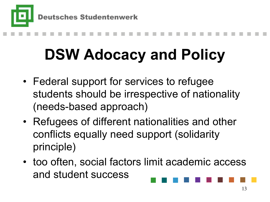

### **DSW Adocacy and Policy**

- Federal support for services to refugee students should be irrespective of nationality (needs-based approach)
- Refugees of different nationalities and other conflicts equally need support (solidarity principle)
- too often, social factors limit academic access and student success